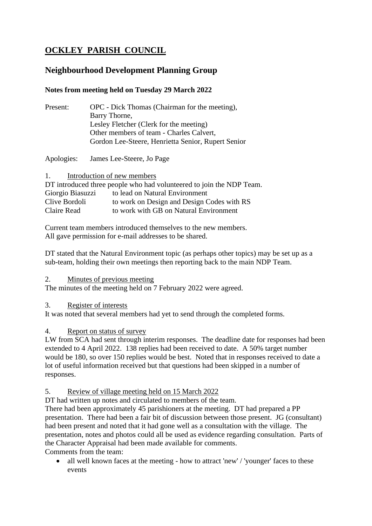# **OCKLEY PARISH COUNCIL**

# **Neighbourhood Development Planning Group**

## **Notes from meeting held on Tuesday 29 March 2022**

| Present: | OPC - Dick Thomas (Chairman for the meeting),      |
|----------|----------------------------------------------------|
|          | Barry Thorne,                                      |
|          | Lesley Fletcher (Clerk for the meeting)            |
|          | Other members of team - Charles Calvert,           |
|          | Gordon Lee-Steere, Henrietta Senior, Rupert Senior |
|          |                                                    |

Apologies: James Lee-Steere, Jo Page

1. Introduction of new members

| DT introduced three people who had volunteered to join the NDP Team. |                                            |  |  |
|----------------------------------------------------------------------|--------------------------------------------|--|--|
| Giorgio Biasuzzi                                                     | to lead on Natural Environment             |  |  |
| Clive Bordoli                                                        | to work on Design and Design Codes with RS |  |  |
| Claire Read                                                          | to work with GB on Natural Environment     |  |  |

Current team members introduced themselves to the new members. All gave permission for e-mail addresses to be shared.

DT stated that the Natural Environment topic (as perhaps other topics) may be set up as a sub-team, holding their own meetings then reporting back to the main NDP Team.

#### 2. Minutes of previous meeting

The minutes of the meeting held on 7 February 2022 were agreed.

#### 3. Register of interests

It was noted that several members had yet to send through the completed forms.

#### 4. Report on status of survey

LW from SCA had sent through interim responses. The deadline date for responses had been extended to 4 April 2022. 138 replies had been received to date. A 50% target number would be 180, so over 150 replies would be best. Noted that in responses received to date a lot of useful information received but that questions had been skipped in a number of responses.

#### 5. Review of village meeting held on 15 March 2022

DT had written up notes and circulated to members of the team.

There had been approximately 45 parishioners at the meeting. DT had prepared a PP presentation. There had been a fair bit of discussion between those present. JG (consultant) had been present and noted that it had gone well as a consultation with the village. The presentation, notes and photos could all be used as evidence regarding consultation. Parts of the Character Appraisal had been made available for comments.

Comments from the team:

• all well known faces at the meeting - how to attract 'new' / 'younger' faces to these events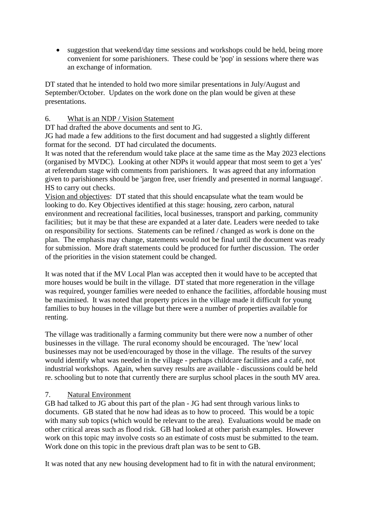• suggestion that weekend/day time sessions and workshops could be held, being more convenient for some parishioners. These could be 'pop' in sessions where there was an exchange of information.

DT stated that he intended to hold two more similar presentations in July/August and September/October. Updates on the work done on the plan would be given at these presentations.

#### 6. What is an NDP / Vision Statement

DT had drafted the above documents and sent to JG.

JG had made a few additions to the first document and had suggested a slightly different format for the second. DT had circulated the documents.

It was noted that the referendum would take place at the same time as the May 2023 elections (organised by MVDC). Looking at other NDPs it would appear that most seem to get a 'yes' at referendum stage with comments from parishioners. It was agreed that any information given to parishioners should be 'jargon free, user friendly and presented in normal language'. HS to carry out checks.

Vision and objectives: DT stated that this should encapsulate what the team would be looking to do. Key Objectives identified at this stage: housing, zero carbon, natural environment and recreational facilities, local businesses, transport and parking, community facilities; but it may be that these are expanded at a later date. Leaders were needed to take on responsibility for sections. Statements can be refined / changed as work is done on the plan. The emphasis may change, statements would not be final until the document was ready for submission. More draft statements could be produced for further discussion. The order of the priorities in the vision statement could be changed.

It was noted that if the MV Local Plan was accepted then it would have to be accepted that more houses would be built in the village. DT stated that more regeneration in the village was required, younger families were needed to enhance the facilities, affordable housing must be maximised. It was noted that property prices in the village made it difficult for young families to buy houses in the village but there were a number of properties available for renting.

The village was traditionally a farming community but there were now a number of other businesses in the village. The rural economy should be encouraged. The 'new' local businesses may not be used/encouraged by those in the village. The results of the survey would identify what was needed in the village - perhaps childcare facilities and a café, not industrial workshops. Again, when survey results are available - discussions could be held re. schooling but to note that currently there are surplus school places in the south MV area.

#### 7. Natural Environment

GB had talked to JG about this part of the plan - JG had sent through various links to documents. GB stated that he now had ideas as to how to proceed. This would be a topic with many sub topics (which would be relevant to the area). Evaluations would be made on other critical areas such as flood risk. GB had looked at other parish examples. However work on this topic may involve costs so an estimate of costs must be submitted to the team. Work done on this topic in the previous draft plan was to be sent to GB.

It was noted that any new housing development had to fit in with the natural environment;